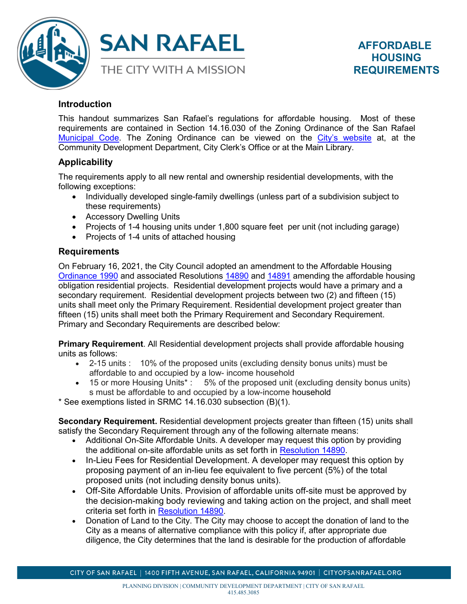



# **Introduction**

This handout summarizes San Rafael's regulations for affordable housing. Most of these requirements are contained in Section 14.16.030 of the Zoning Ordinance of the San Rafael [Municipal Code.](https://library.municode.com/ca/san_rafael/codes/code_of_ordinances?nodeId=TIT14ZO) The Zoning Ordinance can be viewed on the [City's website](http://www.cityofsanrafael.org/) at, at the Community Development Department, City Clerk's Office or at the Main Library.

# **Applicability**

The requirements apply to all new rental and ownership residential developments, with the following exceptions:

- Individually developed single-family dwellings (unless part of a subdivision subject to these requirements)
- Accessory Dwelling Units
- Projects of 1-4 housing units under 1,800 square feet per unit (not including garage)
- Projects of 1-4 units of attached housing

## **Requirements**

On February 16, 2021, the City Council adopted an amendment to the Affordable Housing [Ordinance 1990](https://storage.googleapis.com/proudcity/sanrafaelca/uploads/2021/05/Housing-Ordinance_1990_Final-approved-2-16-21.pdf) and associated Resolutions [14890](https://storage.googleapis.com/proudcity/sanrafaelca/uploads/2021/05/Reso-14890-with-Tables.pdf) and [14891](https://storage.googleapis.com/proudcity/sanrafaelca/uploads/2021/05/City-Council-Policy-Reso-14891-Density-Bonus-and-IncentivesV3.pdf) amending the affordable housing obligation residential projects. Residential development projects would have a primary and a secondary requirement. Residential development projects between two (2) and fifteen (15) units shall meet only the Primary Requirement. Residential development project greater than fifteen (15) units shall meet both the Primary Requirement and Secondary Requirement. Primary and Secondary Requirements are described below:

**Primary Requirement**. All Residential development projects shall provide affordable housing units as follows:

- 2-15 units : 10% of the proposed units (excluding density bonus units) must be affordable to and occupied by a low- income household
- 15 or more Housing Units<sup>\*</sup>: 5% of the proposed unit (excluding density bonus units) s must be affordable to and occupied by a low-income household

\* See exemptions listed in SRMC 14.16.030 subsection (B)(1).

**Secondary Requirement.** Residential development projects greater than fifteen (15) units shall satisfy the Secondary Requirement through any of the following alternate means:

- Additional On-Site Affordable Units. A developer may request this option by providing the additional on-site affordable units as set forth in [Resolution](https://storage.googleapis.com/proudcity/sanrafaelca/uploads/2021/05/Reso-14890-with-Tables.pdf) 14890.
- In-Lieu Fees for Residential Development. A developer may request this option by proposing payment of an in-lieu fee equivalent to five percent (5%) of the total proposed units (not including density bonus units).
- Off-Site Affordable Units. Provision of affordable units off-site must be approved by the decision-making body reviewing and taking action on the project, and shall meet criteria set forth in [Resolution](https://storage.googleapis.com/proudcity/sanrafaelca/uploads/2021/05/Reso-14890-with-Tables.pdf) 14890.
- Donation of Land to the City. The City may choose to accept the donation of land to the City as a means of alternative compliance with this policy if, after appropriate due diligence, the City determines that the land is desirable for the production of affordable